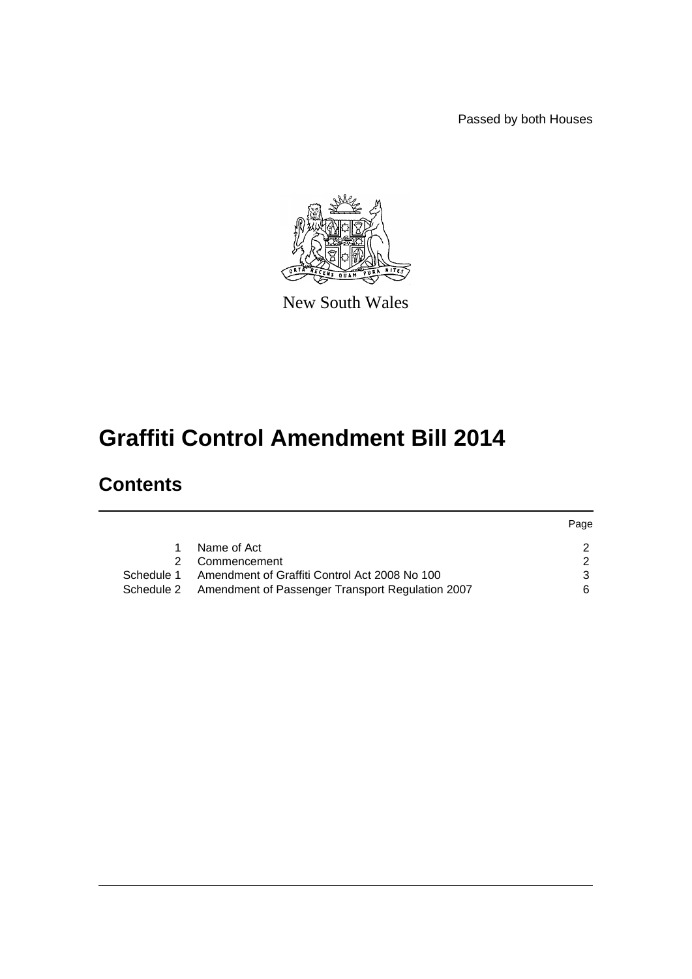Passed by both Houses



New South Wales

# **Graffiti Control Amendment Bill 2014**

# **Contents**

|            |                                                  | Page |
|------------|--------------------------------------------------|------|
|            | Name of Act                                      |      |
|            | Commencement                                     |      |
| Schedule 1 | Amendment of Graffiti Control Act 2008 No 100    |      |
| Schedule 2 | Amendment of Passenger Transport Regulation 2007 | ิค   |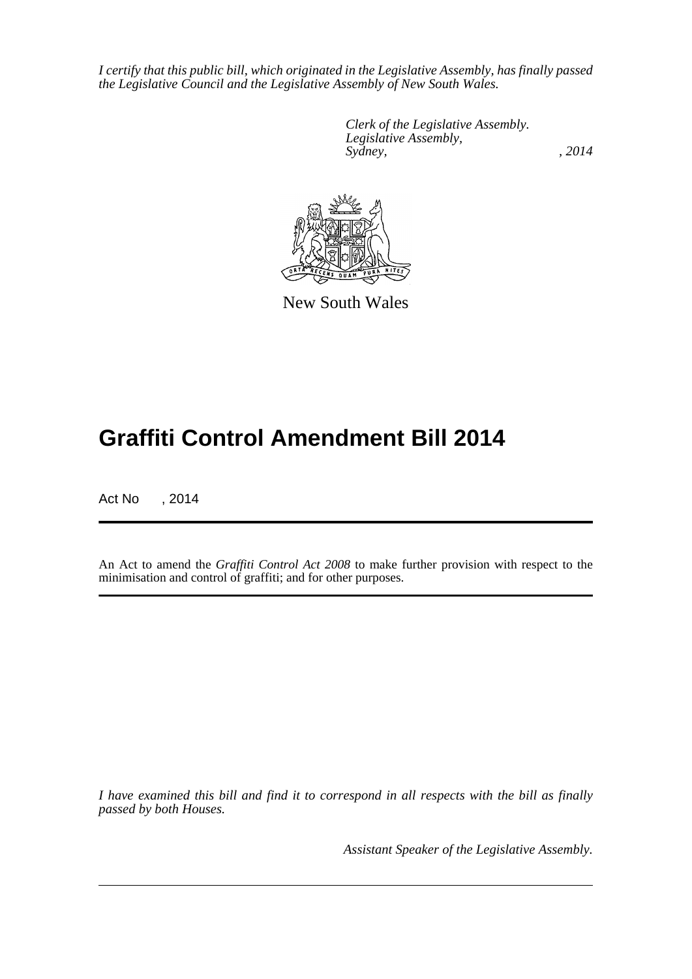*I certify that this public bill, which originated in the Legislative Assembly, has finally passed the Legislative Council and the Legislative Assembly of New South Wales.*

> *Clerk of the Legislative Assembly. Legislative Assembly, Sydney,* , 2014



New South Wales

# **Graffiti Control Amendment Bill 2014**

Act No , 2014

An Act to amend the *Graffiti Control Act 2008* to make further provision with respect to the minimisation and control of graffiti; and for other purposes.

*I have examined this bill and find it to correspond in all respects with the bill as finally passed by both Houses.*

*Assistant Speaker of the Legislative Assembly.*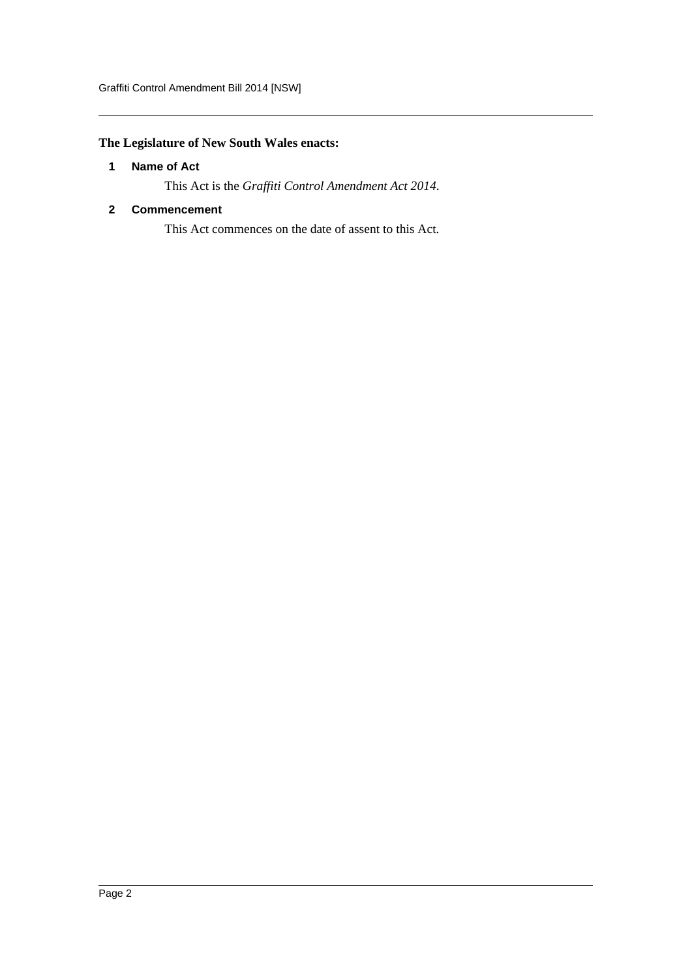# <span id="page-2-0"></span>**The Legislature of New South Wales enacts:**

## **1 Name of Act**

This Act is the *Graffiti Control Amendment Act 2014*.

#### <span id="page-2-1"></span>**2 Commencement**

This Act commences on the date of assent to this Act.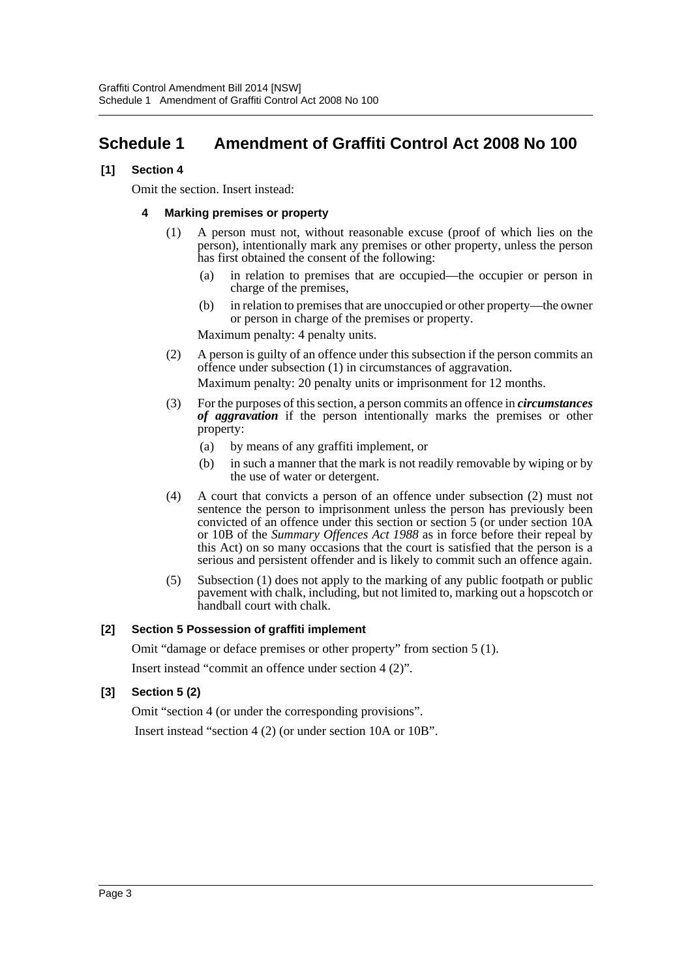# <span id="page-3-0"></span>**Schedule 1 Amendment of Graffiti Control Act 2008 No 100**

#### **[1] Section 4**

Omit the section. Insert instead:

#### **4 Marking premises or property**

- (1) A person must not, without reasonable excuse (proof of which lies on the person), intentionally mark any premises or other property, unless the person has first obtained the consent of the following:
	- (a) in relation to premises that are occupied—the occupier or person in charge of the premises,
	- (b) in relation to premises that are unoccupied or other property—the owner or person in charge of the premises or property.

Maximum penalty: 4 penalty units.

(2) A person is guilty of an offence under this subsection if the person commits an offence under subsection (1) in circumstances of aggravation.

Maximum penalty: 20 penalty units or imprisonment for 12 months.

- (3) For the purposes of this section, a person commits an offence in *circumstances of aggravation* if the person intentionally marks the premises or other property:
	- (a) by means of any graffiti implement, or
	- (b) in such a manner that the mark is not readily removable by wiping or by the use of water or detergent.
- (4) A court that convicts a person of an offence under subsection (2) must not sentence the person to imprisonment unless the person has previously been convicted of an offence under this section or section 5 (or under section 10A or 10B of the *Summary Offences Act 1988* as in force before their repeal by this Act) on so many occasions that the court is satisfied that the person is a serious and persistent offender and is likely to commit such an offence again.
- (5) Subsection (1) does not apply to the marking of any public footpath or public pavement with chalk, including, but not limited to, marking out a hopscotch or handball court with chalk.

### **[2] Section 5 Possession of graffiti implement**

Omit "damage or deface premises or other property" from section 5 (1).

Insert instead "commit an offence under section 4 (2)".

### **[3] Section 5 (2)**

Omit "section 4 (or under the corresponding provisions".

Insert instead "section 4 (2) (or under section 10A or 10B".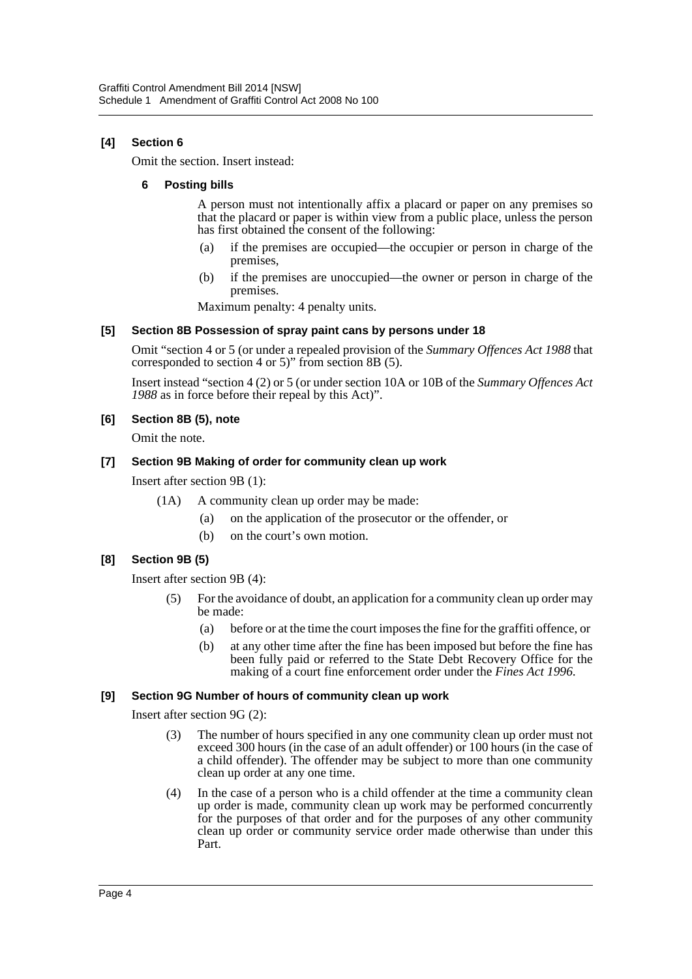## **[4] Section 6**

Omit the section. Insert instead:

#### **6 Posting bills**

A person must not intentionally affix a placard or paper on any premises so that the placard or paper is within view from a public place, unless the person has first obtained the consent of the following:

- (a) if the premises are occupied—the occupier or person in charge of the premises,
- (b) if the premises are unoccupied—the owner or person in charge of the premises.

Maximum penalty: 4 penalty units.

#### **[5] Section 8B Possession of spray paint cans by persons under 18**

Omit "section 4 or 5 (or under a repealed provision of the *Summary Offences Act 1988* that corresponded to section 4 or 5)" from section 8B (5).

Insert instead "section 4 (2) or 5 (or under section 10A or 10B of the *Summary Offences Act 1988* as in force before their repeal by this Act)".

#### **[6] Section 8B (5), note**

Omit the note.

#### **[7] Section 9B Making of order for community clean up work**

Insert after section 9B (1):

- (1A) A community clean up order may be made:
	- (a) on the application of the prosecutor or the offender, or
	- (b) on the court's own motion.

### **[8] Section 9B (5)**

Insert after section 9B (4):

- (5) For the avoidance of doubt, an application for a community clean up order may be made:
	- (a) before or at the time the court imposes the fine for the graffiti offence, or
	- (b) at any other time after the fine has been imposed but before the fine has been fully paid or referred to the State Debt Recovery Office for the making of a court fine enforcement order under the *Fines Act 1996*.

#### **[9] Section 9G Number of hours of community clean up work**

Insert after section 9G (2):

- (3) The number of hours specified in any one community clean up order must not exceed 300 hours (in the case of an adult offender) or 100 hours (in the case of a child offender). The offender may be subject to more than one community clean up order at any one time.
- (4) In the case of a person who is a child offender at the time a community clean up order is made, community clean up work may be performed concurrently for the purposes of that order and for the purposes of any other community clean up order or community service order made otherwise than under this Part.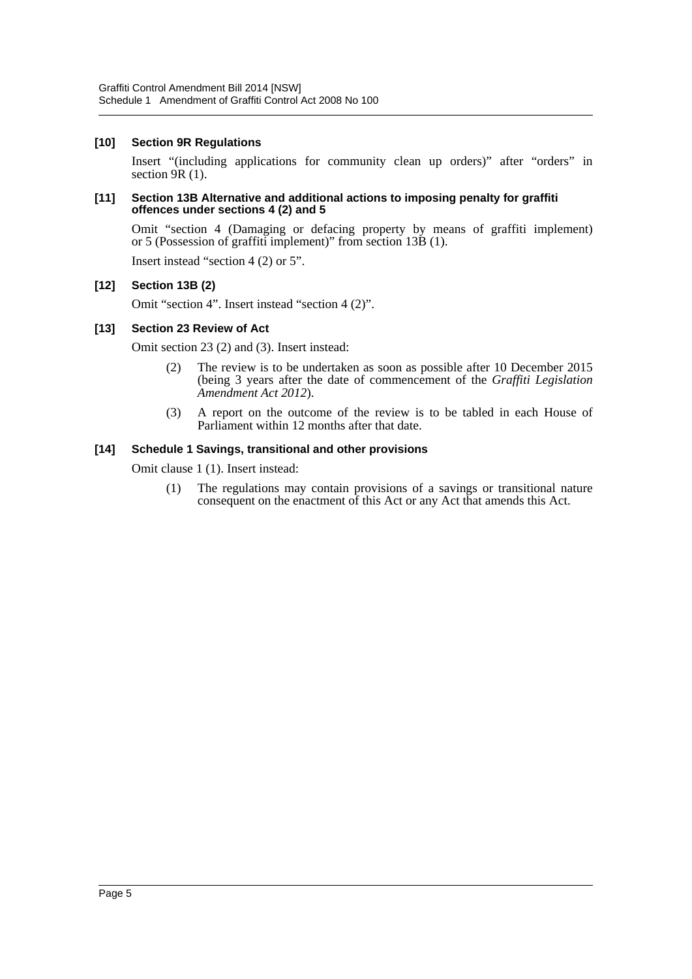#### **[10] Section 9R Regulations**

Insert "(including applications for community clean up orders)" after "orders" in section 9R (1).

#### **[11] Section 13B Alternative and additional actions to imposing penalty for graffiti offences under sections 4 (2) and 5**

Omit "section 4 (Damaging or defacing property by means of graffiti implement) or 5 (Possession of graffiti implement)" from section 13B (1).

Insert instead "section 4 (2) or 5".

#### **[12] Section 13B (2)**

Omit "section 4". Insert instead "section 4 (2)".

#### **[13] Section 23 Review of Act**

Omit section 23 (2) and (3). Insert instead:

- (2) The review is to be undertaken as soon as possible after 10 December 2015 (being 3 years after the date of commencement of the *Graffiti Legislation Amendment Act 2012*).
- (3) A report on the outcome of the review is to be tabled in each House of Parliament within 12 months after that date.

#### **[14] Schedule 1 Savings, transitional and other provisions**

Omit clause 1 (1). Insert instead:

(1) The regulations may contain provisions of a savings or transitional nature consequent on the enactment of this Act or any Act that amends this Act.